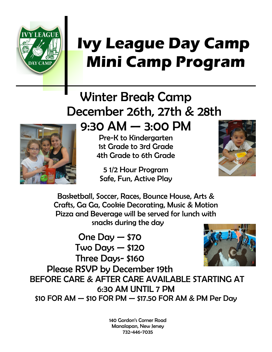

## **Ivy League Day Camp Mini Camp Program**

## Winter Break Camp December 26th, 27th & 28th



9:30 AM — 3:00 PM

Pre-K to Kindergarten 1st Grade to 3rd Grade 4th Grade to 6th Grade

5 1/2 Hour Program Safe, Fun, Active Play



Basketball, Soccer, Races, Bounce House, Arts & Crafts, Ga Ga, Cookie Decorating, Music & Motion Pizza and Beverage will be served for lunch with snacks during the day

One Day — \$70 Two Days — \$120 Three Days- \$160 Please RSVP by December 19th BEFORE CARE & AFTER CARE AVAILABLE STARTING AT 6:30 AM UNTIL 7 PM \$10 FOR AM — \$10 FOR PM — \$17.50 FOR AM & PM Per Day

> 140 Gordon's Corner Road Manalapan, New Jersey 732-446-7035